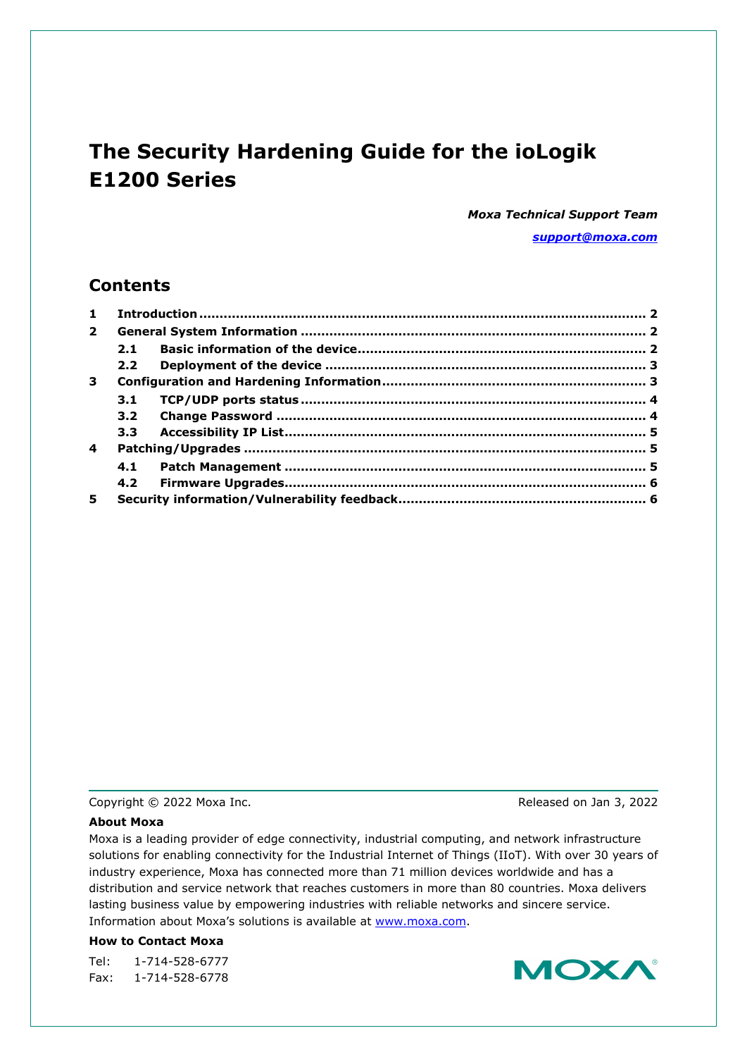# **The Security Hardening Guide for the ioLogik E1200 Series**

*Moxa Technical Support Team [support@moxa.com](mailto:support@moxa.com)*

### **Contents**

| $\mathbf{1}$   |                  |  |  |
|----------------|------------------|--|--|
| $\overline{2}$ |                  |  |  |
|                | 2.1              |  |  |
|                | 2.2 <sub>2</sub> |  |  |
| 3              |                  |  |  |
|                | 3.1              |  |  |
|                | 3.2              |  |  |
|                | 3.3 <sub>1</sub> |  |  |
| 4              |                  |  |  |
|                | 4.1              |  |  |
|                | 4.2              |  |  |
| 5              |                  |  |  |

Copyright © 2022 Moxa Inc. Copyright © 2022 Moxa Inc.

#### **About Moxa**

Moxa is a leading provider of edge connectivity, industrial computing, and network infrastructure solutions for enabling connectivity for the Industrial Internet of Things (IIoT). With over 30 years of industry experience, Moxa has connected more than 71 million devices worldwide and has a distribution and service network that reaches customers in more than 80 countries. Moxa delivers lasting business value by empowering industries with reliable networks and sincere service. Information about Moxa's solutions is available at [www.moxa.com.](http://www.moxa.com/)

#### **How to Contact Moxa**

Tel: 1-714-528-6777 Fax: 1-714-528-6778

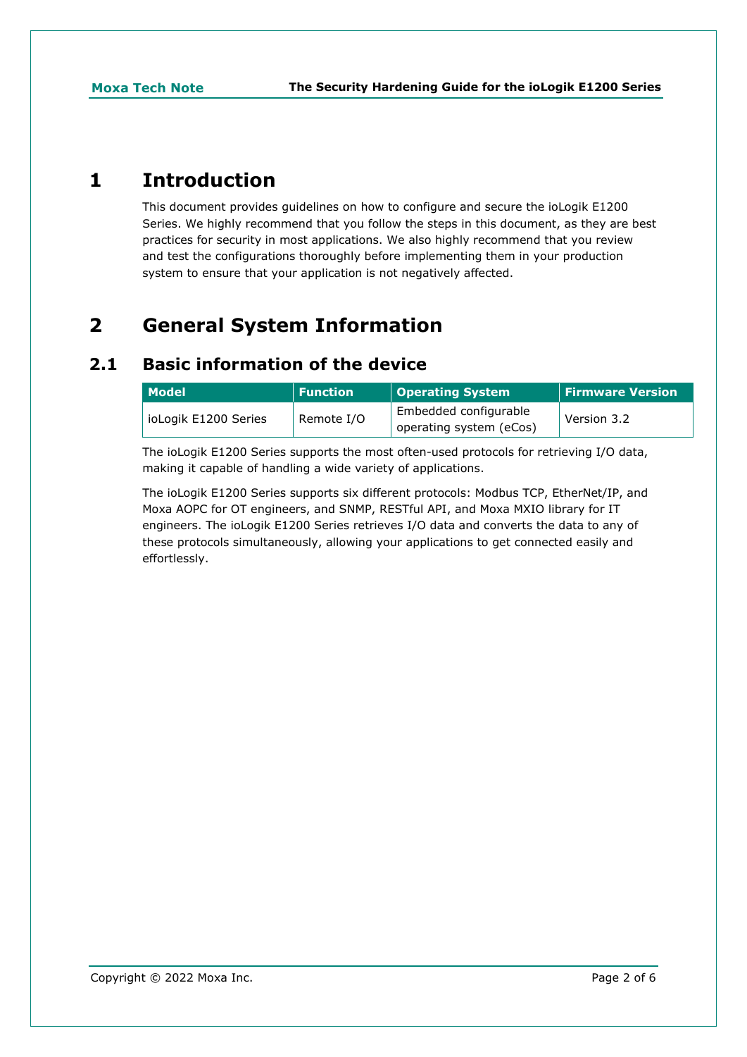## <span id="page-1-0"></span>**1 Introduction**

This document provides guidelines on how to configure and secure the ioLogik E1200 Series. We highly recommend that you follow the steps in this document, as they are best practices for security in most applications. We also highly recommend that you review and test the configurations thoroughly before implementing them in your production system to ensure that your application is not negatively affected.

# <span id="page-1-1"></span>**2 General System Information**

## <span id="page-1-2"></span>**2.1 Basic information of the device**

| Model                | <b>Function</b> | <b>Operating System</b>                          | <b>Firmware Version</b> |
|----------------------|-----------------|--------------------------------------------------|-------------------------|
| ioLogik E1200 Series | Remote I/O      | Embedded configurable<br>operating system (eCos) | Version 3.2             |

The ioLogik E1200 Series supports the most often-used protocols for retrieving I/O data, making it capable of handling a wide variety of applications.

The ioLogik E1200 Series supports six different protocols: Modbus TCP, EtherNet/IP, and Moxa AOPC for OT engineers, and SNMP, RESTful API, and Moxa MXIO library for IT engineers. The ioLogik E1200 Series retrieves I/O data and converts the data to any of these protocols simultaneously, allowing your applications to get connected easily and effortlessly.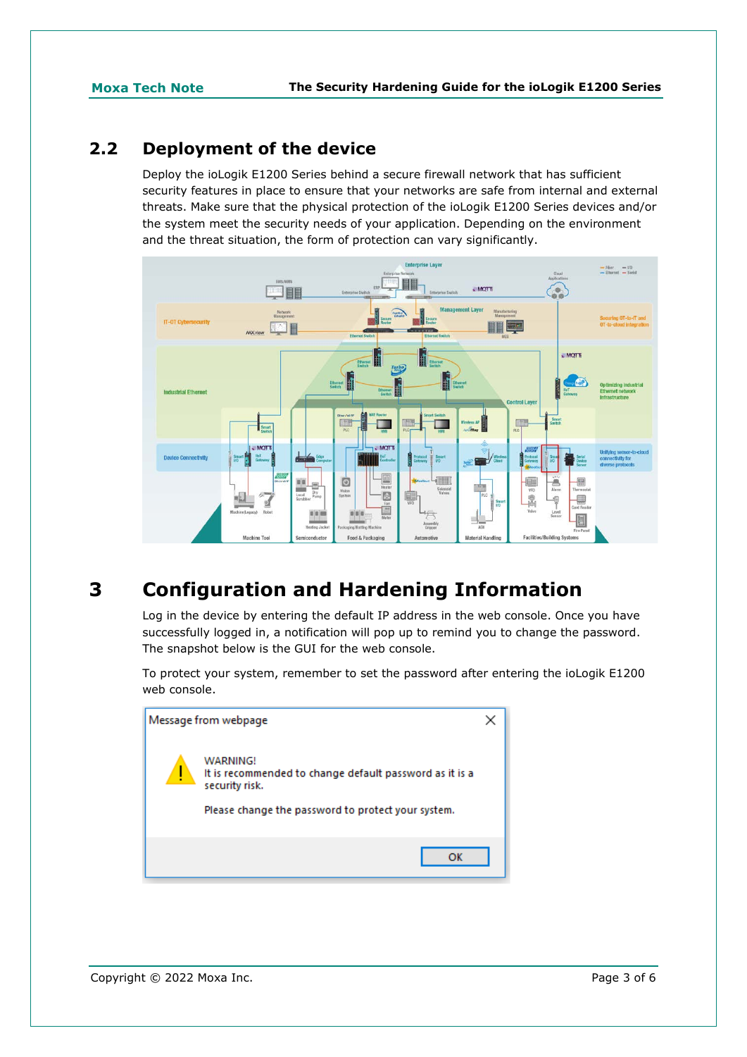## <span id="page-2-0"></span>**2.2 Deployment of the device**

Deploy the ioLogik E1200 Series behind a secure firewall network that has sufficient security features in place to ensure that your networks are safe from internal and external threats. Make sure that the physical protection of the ioLogik E1200 Series devices and/or the system meet the security needs of your application. Depending on the environment and the threat situation, the form of protection can vary significantly.



# <span id="page-2-1"></span>**3 Configuration and Hardening Information**

Log in the device by entering the default IP address in the web console. Once you have successfully logged in, a notification will pop up to remind you to change the password. The snapshot below is the GUI for the web console.

To protect your system, remember to set the password after entering the ioLogik E1200 web console.

| Message from webpage                                                                                                                        |  |
|---------------------------------------------------------------------------------------------------------------------------------------------|--|
| WARNING!<br>It is recommended to change default password as it is a<br>security risk.<br>Please change the password to protect your system. |  |
| ок                                                                                                                                          |  |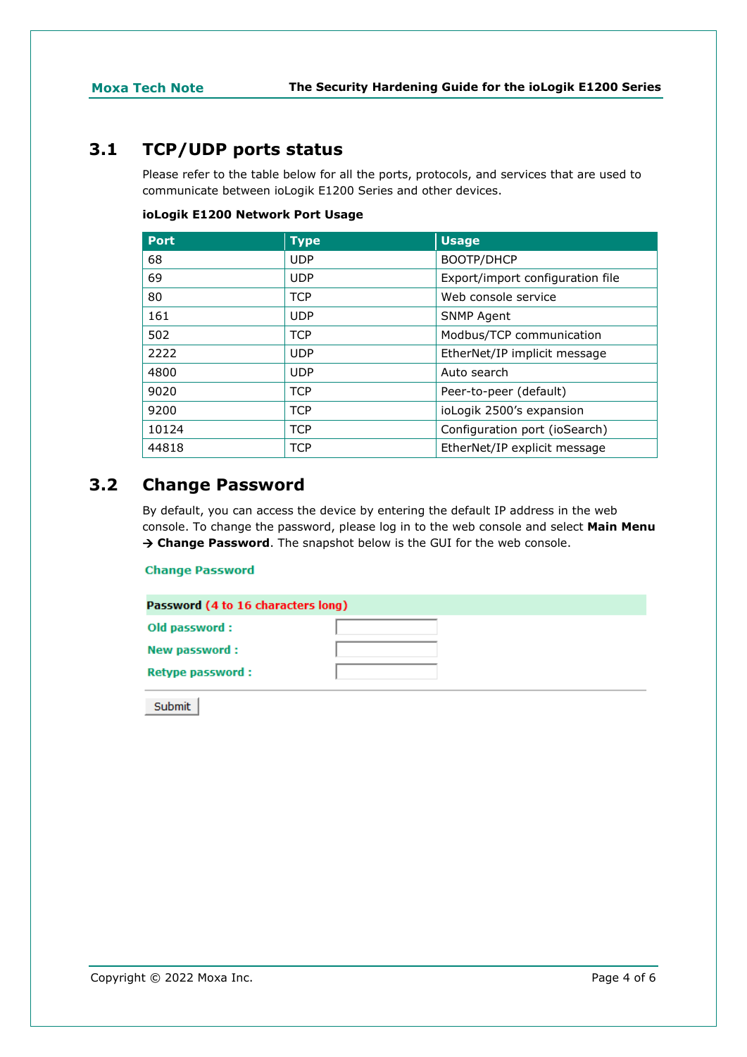## <span id="page-3-0"></span>**3.1 TCP/UDP ports status**

Please refer to the table below for all the ports, protocols, and services that are used to communicate between ioLogik E1200 Series and other devices.

#### **ioLogik E1200 Network Port Usage**

| <b>Port</b> | <b>Type</b> | <b>Usage</b>                     |
|-------------|-------------|----------------------------------|
| 68          | <b>UDP</b>  | BOOTP/DHCP                       |
| 69          | <b>UDP</b>  | Export/import configuration file |
| 80          | <b>TCP</b>  | Web console service              |
| 161         | <b>UDP</b>  | <b>SNMP Agent</b>                |
| 502         | <b>TCP</b>  | Modbus/TCP communication         |
| 2222        | <b>UDP</b>  | EtherNet/IP implicit message     |
| 4800        | <b>UDP</b>  | Auto search                      |
| 9020        | <b>TCP</b>  | Peer-to-peer (default)           |
| 9200        | <b>TCP</b>  | ioLogik 2500's expansion         |
| 10124       | <b>TCP</b>  | Configuration port (ioSearch)    |
| 44818       | <b>TCP</b>  | EtherNet/IP explicit message     |

## <span id="page-3-1"></span>**3.2 Change Password**

By default, you can access the device by entering the default IP address in the web console. To change the password, please log in to the web console and select **Main Menu Change Password**. The snapshot below is the GUI for the web console.

#### **Change Password**

| Password (4 to 16 characters long) |  |
|------------------------------------|--|
| Old password:                      |  |
| New password:                      |  |
| <b>Retype password:</b>            |  |

Submit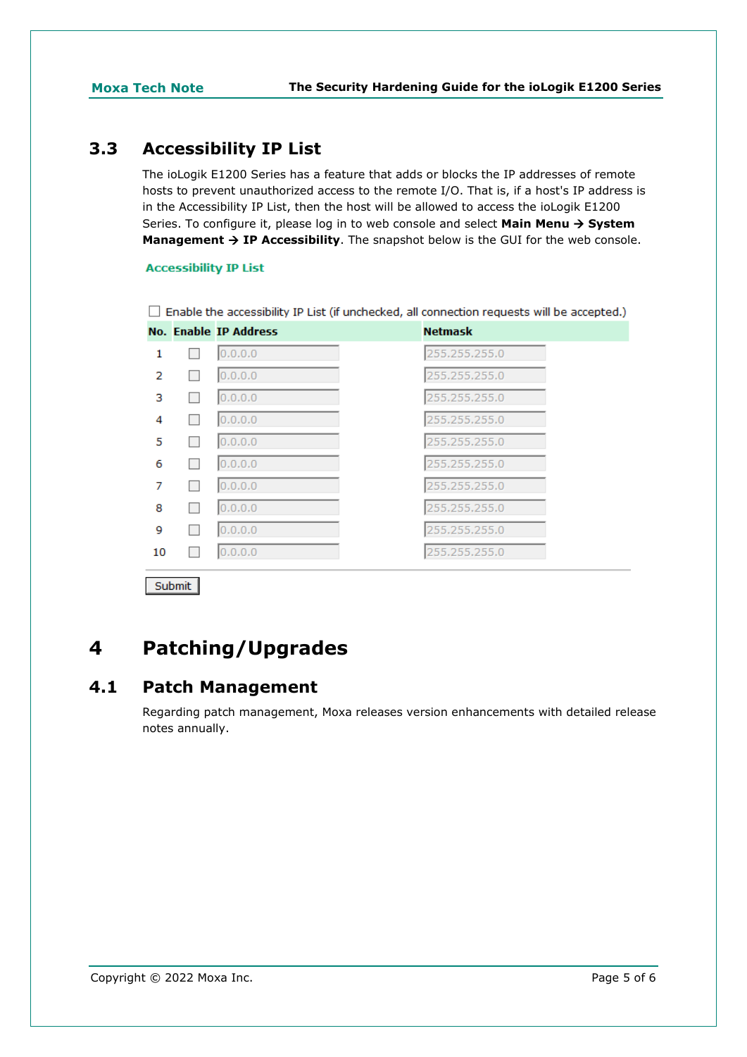## <span id="page-4-0"></span>**3.3 Accessibility IP List**

The ioLogik E1200 Series has a feature that adds or blocks the IP addresses of remote hosts to prevent unauthorized access to the remote I/O. That is, if a host's IP address is in the Accessibility IP List, then the host will be allowed to access the ioLogik E1200 Series. To configure it, please log in to web console and select **Main Menu System Management**  $\rightarrow$  **IP Accessibility**. The snapshot below is the GUI for the web console.

#### **Accessibility IP List**

 $\Box$  Enable the accessibility IP List (if unchecked, all connection requests will be accepted.)

|    | <b>No. Enable IP Address</b> | <b>Netmask</b> |
|----|------------------------------|----------------|
|    | 0.0.0.0                      | 255,255,255.0  |
| 2  | 0.0.0.0                      | 255.255.255.0  |
| з  | 0.0.0.0                      | 255.255.255.0  |
| 4  | 0.0.0.0                      | 255.255.255.0  |
| 5  | 0.0.0.0                      | 255.255.255.0  |
| 6  | 0.0.0.0                      | 255.255.255.0  |
|    | 0.0.0.0                      | 255.255.255.0  |
| 8  | 0.0.0.0                      | 255.255.255.0  |
| 9  | 0.0.0.0                      | 255.255.255.0  |
| 10 | 0.0.0.0                      | 255.255.255.0  |
|    |                              |                |

Submit

# <span id="page-4-1"></span>**4 Patching/Upgrades**

### <span id="page-4-2"></span>**4.1 Patch Management**

Regarding patch management, Moxa releases version enhancements with detailed release notes annually.